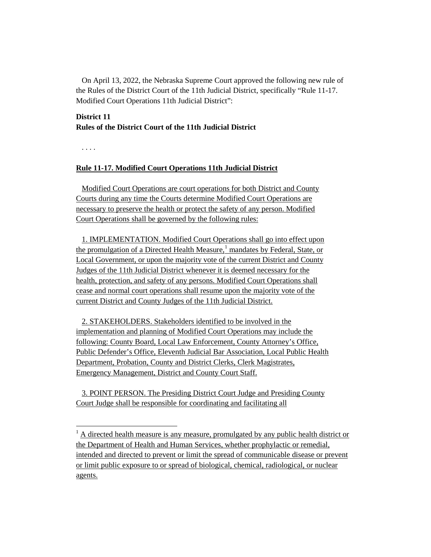On April 13, 2022, the Nebraska Supreme Court approved the following new rule of the Rules of the District Court of the 11th Judicial District, specifically "Rule 11-17. Modified Court Operations 11th Judicial District":

## **District 11 Rules of the District Court of the 11th Judicial District**

. . . .

 $\overline{\phantom{a}}$ 

## **Rule 11-17. Modified Court Operations 11th Judicial District**

Modified Court Operations are court operations for both District and County Courts during any time the Courts determine Modified Court Operations are necessary to preserve the health or protect the safety of any person. Modified Court Operations shall be governed by the following rules:

1. IMPLEMENTATION. Modified Court Operations shall go into effect upon the promulgation of a Directed Health Measure, $<sup>1</sup>$  $<sup>1</sup>$  $<sup>1</sup>$  mandates by Federal, State, or</sup> Local Government, or upon the majority vote of the current District and County Judges of the 11th Judicial District whenever it is deemed necessary for the health, protection, and safety of any persons. Modified Court Operations shall cease and normal court operations shall resume upon the majority vote of the current District and County Judges of the 11th Judicial District.

2. STAKEHOLDERS. Stakeholders identified to be involved in the implementation and planning of Modified Court Operations may include the following: County Board, Local Law Enforcement, County Attorney's Office, Public Defender's Office, Eleventh Judicial Bar Association, Local Public Health Department, Probation, County and District Clerks, Clerk Magistrates, Emergency Management, District and County Court Staff.

3. POINT PERSON. The Presiding District Court Judge and Presiding County Court Judge shall be responsible for coordinating and facilitating all

<span id="page-0-0"></span> $<sup>1</sup>$  A directed health measure is any measure, promulgated by any public health district or</sup> the Department of Health and Human Services, whether prophylactic or remedial, intended and directed to prevent or limit the spread of communicable disease or prevent or limit public exposure to or spread of biological, chemical, radiological, or nuclear agents.